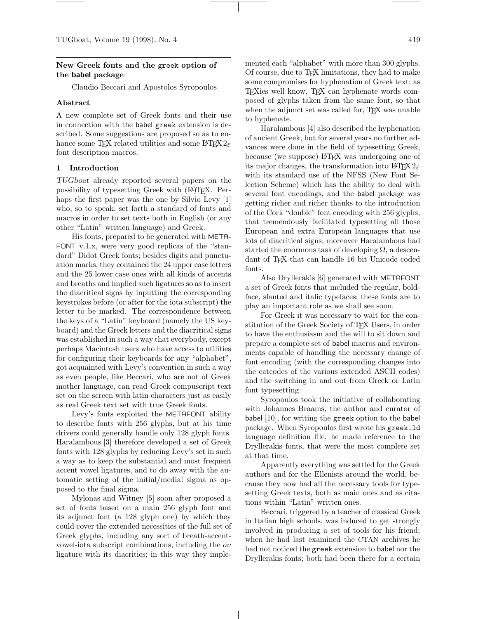# **New Greek fonts and the** greek **option of the babel package**

Claudio Beccari and Apostolos Syropoulos

# **Abstract**

A new complete set of Greek fonts and their use in connection with the babel greek extension is described. Some suggestions are proposed so as to enhance some T<sub>F</sub>X related utilities and some LAT<sub>F</sub>X  $2\varepsilon$ font description macros.

# **1 Introduction**

*TUGboat* already reported several papers on the possibility of typesetting Greek with (LA)TEX. Perhaps the first paper was the one by Silvio Levy [1] who, so to speak, set forth a standard of fonts and macros in order to set texts both in English (or any other "Latin" written language) and Greek.

His fonts, prepared to be generated with META-FONT v.1.x, were very good replicas of the "standard" Didot Greek fonts; besides digits and punctuation marks, they contained the 24 upper case letters and the 25 lower case ones with all kinds of accents and breaths and implied such ligatures so as to insert the diacritical signs by inputting the corresponding keystrokes before (or after for the iota subscript) the letter to be marked. The correspondence between the keys of a "Latin" keyboard (namely the US keyboard) and the Greek letters and the diacritical signs was established in such a way that everybody, except perhaps Macintosh users who have access to utilities for configuring their keyboards for any "alphabet", got acquainted with Levy's convention in such a way as even people, like Beccari, who are not of Greek mother language, can read Greek compuscript text set on the screen with latin characters just as easily as real Greek text set with true Greek fonts.

Levy's fonts exploited the METAFONT ability to describe fonts with 256 glyphs, but at his time drivers could generally handle only 128 glyph fonts. Haralambous [3] therefore developed a set of Greek fonts with 128 glyphs by reducing Levy's set in such a way as to keep the substantial and most frequent accent vowel ligatures, and to do away with the automatic setting of the initial/medial sigma as opposed to the final sigma.

Mylonas and Witney [5] soon after proposed a set of fonts based on a main 256 glyph font and its adjunct font (a 128 glyph one) by which they could cover the extended necessities of the full set of Greek glyphs, including any sort of breath-accentvowel-iota subscript combinations, including the  $ov$ ligature with its diacritics; in this way they implemented each "alphabet" with more than 300 glyphs. Of course, due to TEX limitations, they had to make some compromises for hyphenation of Greek text; as TEXies well know, TEX can hyphenate words composed of glyphs taken from the same font, so that when the adjunct set was called for, T<sub>EX</sub> was unable to hyphenate.

Haralambous [4] also described the hyphenation of ancient Greek, but for several years no further advances were done in the field of typesetting Greek, because (we suppose) LAT<sub>F</sub>X was undergoing one of its major changes, the transformation into  $\mathbb{P}\mathbb{F}\times 2_\varepsilon$ with its standard use of the NFSS (New Font Selection Scheme) which has the ability to deal with several font encodings, and the babel package was getting richer and richer thanks to the introduction of the Cork "double" font encoding with 256 glyphs, that tremendously facilitated typesetting all those European and extra European languages that use lots of diacritical signs; moreover Haralambous had started the enormous task of developing  $\Omega$ , a descendant of TEX that can handle 16 bit Unicode coded fonts.

Also Dryllerakis [6] generated with METAFONT a set of Greek fonts that included the regular, boldface, slanted and italic typefaces; these fonts are to play an important role as we shall see soon.

For Greek it was necessary to wait for the constitution of the Greek Society of TEX Users, in order to have the enthusiasm and the will to sit down and prepare a complete set of babel macros and environments capable of handling the necessary change of font encoding (with the corresponding changes into the catcodes of the various extended ASCII codes) and the switching in and out from Greek or Latin font typesetting.

Syropoulos took the initiative of collaborating with Johannes Braams, the author and curator of babel [10], for writing the greek option to the babel package. When Syropoulos first wrote his greek.ld language definition file, he made reference to the Dryllerakis fonts, that were the most complete set at that time.

Apparently everything was settled for the Greek authors and for the Ellenists around the world, because they now had all the necessary tools for typesetting Greek texts, both as main ones and as citations within "Latin" written ones.

Beccari, triggered by a teacher of classical Greek in Italian high schools, was induced to get strongly involved in producing a set of tools for his friend; when he had last examined the CTAN archives he had not noticed the greek extension to babel nor the Dryllerakis fonts; both had been there for a certain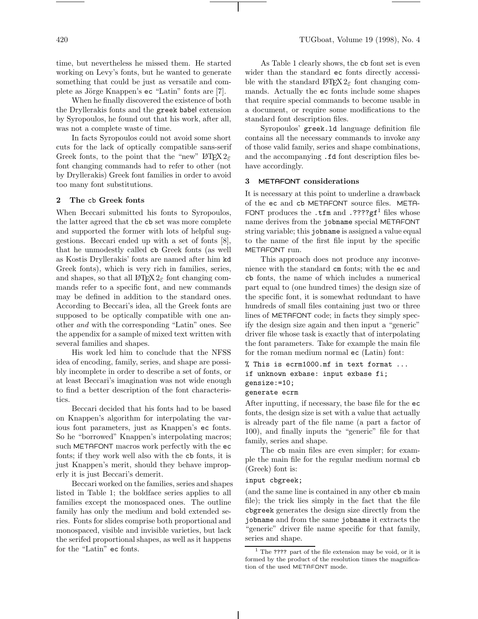time, but nevertheless he missed them. He started working on Levy's fonts, but he wanted to generate something that could be just as versatile and complete as Jörge Knappen's ec "Latin" fonts are [7].

When he finally discovered the existence of both the Dryllerakis fonts and the greek babel extension by Syropoulos, he found out that his work, after all, was not a complete waste of time.

In facts Syropoulos could not avoid some short cuts for the lack of optically compatible sans-serif Greek fonts, to the point that the "new"  $\angle$ ETEX 2 font changing commands had to refer to other (not by Dryllerakis) Greek font families in order to avoid too many font substitutions.

## **2 The** cb **Greek fonts**

When Beccari submitted his fonts to Syropoulos, the latter agreed that the cb set was more complete and supported the former with lots of helpful suggestions. Beccari ended up with a set of fonts [8], that he unmodestly called cb Greek fonts (as well as Kostis Dryllerakis' fonts are named after him kd Greek fonts), which is very rich in families, series, and shapes, so that all  $\text{LATEX} 2_{\varepsilon}$  font changing commands refer to a specific font, and new commands may be defined in addition to the standard ones. According to Beccari's idea, all the Greek fonts are supposed to be optically compatible with one another and with the corresponding "Latin" ones. See the appendix for a sample of mixed text written with several families and shapes.

His work led him to conclude that the NFSS idea of encoding, family, series, and shape are possibly incomplete in order to describe a set of fonts, or at least Beccari's imagination was not wide enough to find a better description of the font characteristics.

Beccari decided that his fonts had to be based on Knappen's algorithm for interpolating the various font parameters, just as Knappen's ec fonts. So he "borrowed" Knappen's interpolating macros; such METAFONT macros work perfectly with the ec fonts; if they work well also with the cb fonts, it is just Knappen's merit, should they behave improperly it is just Beccari's demerit.

Beccari worked on the families, series and shapes listed in Table 1; the boldface series applies to all families except the monospaced ones. The outline family has only the medium and bold extended series. Fonts for slides comprise both proportional and monospaced, visible and invisible varieties, but lack the serifed proportional shapes, as well as it happens for the "Latin" ec fonts.

As Table 1 clearly shows, the cb font set is even wider than the standard ec fonts directly accessible with the standard  $L^2T_F X 2_\varepsilon$  font changing commands. Actually the ec fonts include some shapes that require special commands to become usable in a document, or require some modifications to the standard font description files.

Syropoulos' greek.ld language definition file contains all the necessary commands to invoke any of those valid family, series and shape combinations, and the accompanying .fd font description files behave accordingly.

# **3 METAFONT considerations**

It is necessary at this point to underline a drawback of the ec and cb METAFONT source files. META-FONT produces the .tfm and .???? $gf<sup>1</sup>$  files whose name derives from the jobname special METAFONT string variable; this jobname is assigned a value equal to the name of the first file input by the specific METAFONT run.

This approach does not produce any inconvenience with the standard cm fonts; with the ec and cb fonts, the name of which includes a numerical part equal to (one hundred times) the design size of the specific font, it is somewhat redundant to have hundreds of small files containing just two or three lines of METAFONT code; in facts they simply specify the design size again and then input a "generic" driver file whose task is exactly that of interpolating the font parameters. Take for example the main file for the roman medium normal ec (Latin) font:

```
% This is ecrm1000.mf in text format ...
if unknown exbase: input exbase fi;
gensize:=10;
generate ecrm
```
After inputting, if necessary, the base file for the ec fonts, the design size is set with a value that actually is already part of the file name (a part a factor of

family, series and shape. The cb main files are even simpler; for example the main file for the regular medium normal cb (Greek) font is:

100), and finally inputs the "generic" file for that

## input cbgreek;

(and the same line is contained in any other cb main file); the trick lies simply in the fact that the file cbgreek generates the design size directly from the jobname and from the same jobname it extracts the "generic" driver file name specific for that family, series and shape.

<sup>&</sup>lt;sup>1</sup> The ???? part of the file extension may be void, or it is formed by the product of the resolution times the magnification of the used METAFONT mode.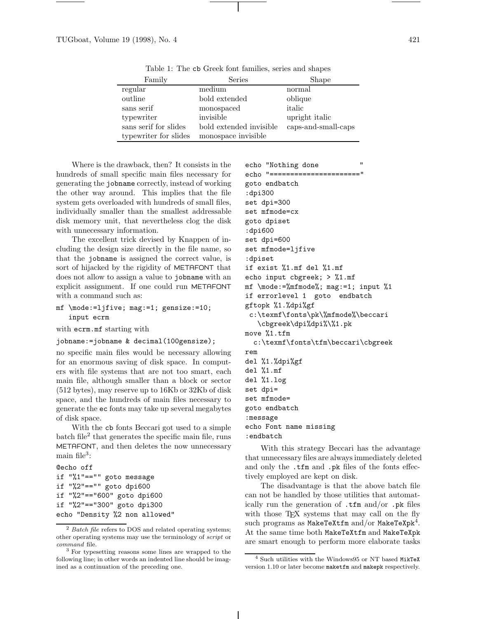| Family                | Series                  | Shape               |
|-----------------------|-------------------------|---------------------|
| regular               | medium                  | normal              |
| outline               | bold extended           | oblique             |
| sans serif            | monospaced              | italic              |
| typewriter            | invisible               | upright italic      |
| sans serif for slides | bold extended invisible | caps-and-small-caps |
| typewriter for slides | monospace invisible     |                     |

Table 1: The cb Greek font families, series and shapes

Where is the drawback, then? It consists in the hundreds of small specific main files necessary for generating the jobname correctly, instead of working the other way around. This implies that the file system gets overloaded with hundreds of small files, individually smaller than the smallest addressable disk memory unit, that nevertheless clog the disk with unnecessary information.

The excellent trick devised by Knappen of including the design size directly in the file name, so that the jobname is assigned the correct value, is sort of hijacked by the rigidity of METAFONT that does not allow to assign a value to jobname with an explicit assignment. If one could run METAFONT with a command such as:

```
mf \mode:=ljfive; mag:=1; gensize:=10;
   input ecrm
```
with ecrm.mf starting with

jobname:=jobname & decimal(100gensize);

no specific main files would be necessary allowing for an enormous saving of disk space. In computers with file systems that are not too smart, each main file, although smaller than a block or sector (512 bytes), may reserve up to 16Kb or 32Kb of disk space, and the hundreds of main files necessary to generate the ec fonts may take up several megabytes of disk space.

With the cb fonts Beccari got used to a simple  $batch file<sup>2</sup> that generates the specific main file, runs$ METAFONT, and then deletes the now unnecessary main file<sup>3</sup>:

```
@echo off
if "%1"=="" goto message
if "%2"=="" goto dpi600
if "%2"=="600" goto dpi600
if "%2"=="300" goto dpi300
echo "Density %2 non allowed"
```
echo "Nothing done echo "======================" goto endbatch :dpi300 set dpi=300 set mfmode=cx goto dpiset :dpi600 set dpi=600 set mfmode=ljfive :dpiset if exist %1.mf del %1.mf echo input cbgreek; > %1.mf mf \mode:=%mfmode%; mag:=1; input %1 if errorlevel 1 goto endbatch gftopk %1.%dpi%gf c:\texmf\fonts\pk\%mfmode%\beccari \cbgreek\dpi%dpi%\%1.pk move %1.tfm c:\texmf\fonts\tfm\beccari\cbgreek rem del %1.%dpi%gf del %1.mf del %1.log set dpi= set mfmode= goto endbatch :message

echo Font name missing :endbatch

With this strategy Beccari has the advantage that unnecessary files are always immediately deleted and only the .tfm and .pk files of the fonts effectively employed are kept on disk.

The disadvantage is that the above batch file can not be handled by those utilities that automatically run the generation of .tfm and/or .pk files with those T<sub>E</sub>X systems that may call on the fly such programs as MakeTeXtfm and/or MakeTeXpk<sup>4</sup>. At the same time both MakeTeXtfm and MakeTeXpk are smart enough to perform more elaborate tasks

 $2$  Batch file refers to DOS and related operating systems; other operating systems may use the terminology of  $script$  or command file.

<sup>3</sup> For typesetting reasons some lines are wrapped to the following line; in other words an indented line should be imagined as a continuation of the preceding one.

<sup>4</sup> Such utilities with the Windows95 or NT based MikTeX version 1.10 or later become maketfm and makepk respectively.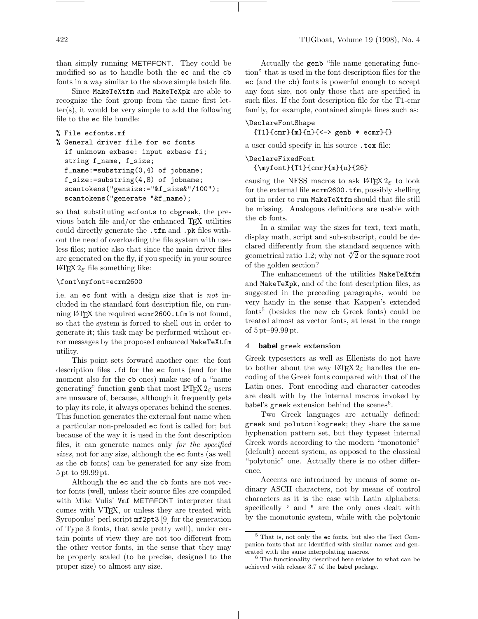than simply running METAFONT. They could be modified so as to handle both the ec and the cb fonts in a way similar to the above simple batch file.

Since MakeTeXtfm and MakeTeXpk are able to recognize the font group from the name first letter(s), it would be very simple to add the following file to the ec file bundle:

```
% File ecfonts.mf
```

```
% General driver file for ec fonts
  if unknown exbase: input exbase fi;
  string f_name, f_size;
  f_name:=substring(0,4) of jobname;
  f_size:=substring(4,8) of jobname;
  scantokens("gensize:="&f_size&"/100");
  scantokens("generate "&f_name);
```
so that substituting ecfonts to cbgreek, the previous batch file and/or the enhanced TEX utilities could directly generate the .tfm and .pk files without the need of overloading the file system with useless files; notice also that since the main driver files are generated on the fly, if you specify in your source LATEX2ε file something like:

### \font\myfont=ecrm2600

i.e. an ec font with a design size that is not included in the standard font description file, on running LATEX the required ecmr2600.tfm is not found, so that the system is forced to shell out in order to generate it; this task may be performed without error messages by the proposed enhanced MakeTeXtfm utility.

This point sets forward another one: the font description files .fd for the ec fonts (and for the moment also for the cb ones) make use of a "name generating" function genb that most  $\mathbb{F} \mathbb{F} \times \mathbb{Z}_{\varepsilon}$  users are unaware of, because, although it frequently gets to play its role, it always operates behind the scenes. This function generates the external font name when a particular non-preloaded ec font is called for; but because of the way it is used in the font description files, it can generate names only for the specified sizes, not for any size, although the ec fonts (as well as the cb fonts) can be generated for any size from 5pt to 99.99pt.

Although the ec and the cb fonts are not vector fonts (well, unless their source files are compiled with Mike Vulis' Vmf METAFONT interpreter that comes with VTEX, or unless they are treated with Syropoulos' perl script mf2pt3 [9] for the generation of Type 3 fonts, that scale pretty well), under certain points of view they are not too different from the other vector fonts, in the sense that they may be properly scaled (to be precise, designed to the proper size) to almost any size.

Actually the genb "file name generating function" that is used in the font description files for the ec (and the cb) fonts is powerful enough to accept any font size, not only those that are specified in such files. If the font description file for the T1-cmr family, for example, contained simple lines such as:

# \DeclareFontShape

 ${T1}{cm}$  ${m}{n}{c->$  genb  $*$  ecmr} ${}$ 

a user could specify in his source .tex file:

\DeclareFixedFont {\myfont}{T1}{cmr}{m}{n}{26}

causing the NFSS macros to ask  $\text{H}\text{F}X2_{\varepsilon}$  to look for the external file ecrm2600.tfm, possibly shelling out in order to run MakeTeXtfm should that file still be missing. Analogous definitions are usable with the cb fonts.

In a similar way the sizes for text, text math, display math, script and sub-subscript, could be declared differently from the standard sequence with geometrical ratio 1.2; why not  $\sqrt[4]{2}$  or the square root of the golden section?

The enhancement of the utilities MakeTeXtfm and MakeTeXpk, and of the font description files, as suggested in the preceding paragraphs, would be very handy in the sense that Kappen's extended  $f$ onts<sup>5</sup> (besides the new cb Greek fonts) could be treated almost as vector fonts, at least in the range of 5pt–99.99pt.

#### **4 babel** greek **extension**

Greek typesetters as well as Ellenists do not have to bother about the way  $\text{LATEX} 2_{\varepsilon}$  handles the encoding of the Greek fonts compared with that of the Latin ones. Font encoding and character catcodes are dealt with by the internal macros invoked by babel's greek extension behind the scenes<sup>6</sup>.

Two Greek languages are actually defined: greek and polutonikogreek; they share the same hyphenation pattern set, but they typeset internal Greek words according to the modern "monotonic" (default) accent system, as opposed to the classical "polytonic" one. Actually there is no other difference.

Accents are introduced by means of some ordinary ASCII characters, not by means of control characters as it is the case with Latin alphabets: specifically  $'$  and " are the only ones dealt with by the monotonic system, while with the polytonic

<sup>5</sup> That is, not only the ec fonts, but also the Text Companion fonts that are identified with similar names and generated with the same interpolating macros.

<sup>6</sup> The functionality described here relates to what can be achieved with release 3.7 of the babel package.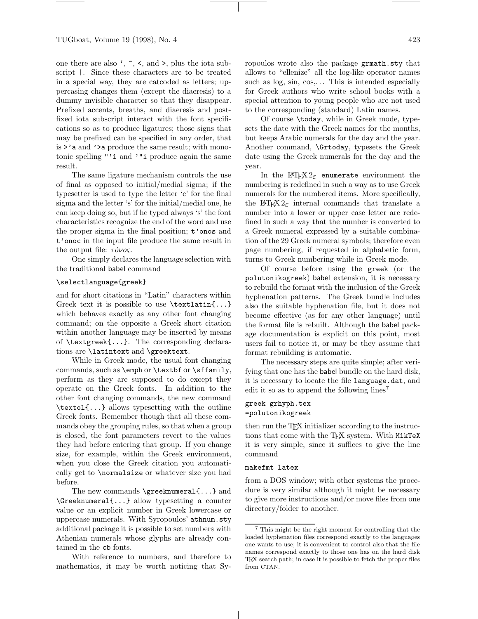one there are also  $\zeta$ ,  $\zeta$ ,  $\zeta$ , and  $\zeta$ , plus the iota subscript |. Since these characters are to be treated in a special way, they are catcoded as letters; uppercasing changes them (except the diaeresis) to a dummy invisible character so that they disappear. Prefixed accents, breaths, and diaeresis and postfixed iota subscript interact with the font specifications so as to produce ligatures; those signs that may be prefixed can be specified in any order, that is >'a and '>a produce the same result; with monotonic spelling "'i and '"i produce again the same result.

The same ligature mechanism controls the use of final as opposed to initial/medial sigma; if the typesetter is used to type the letter 'c' for the final sigma and the letter 's' for the initial/medial one, he can keep doing so, but if he typed always 's' the font characteristics recognize the end of the word and use the proper sigma in the final position; t'onos and t'onoc in the input file produce the same result in the output file:  $\tau \acute{o} \nu \rho \varsigma$ .

One simply declares the language selection with the traditional babel command

## \selectlanguage{greek}

and for short citations in "Latin" characters within Greek text it is possible to use \textlatin{...} which behaves exactly as any other font changing command; on the opposite a Greek short citation within another language may be inserted by means of \textgreek{...}. The corresponding declarations are \latintext and \greektext.

While in Greek mode, the usual font changing commands, such as \emph or \textbf or \sffamily, perform as they are supposed to do except they operate on the Greek fonts. In addition to the other font changing commands, the new command \textol{...} allows typesetting with the outline Greek fonts. Remember though that all these commands obey the grouping rules, so that when a group is closed, the font parameters revert to the values they had before entering that group. If you change size, for example, within the Greek environment, when you close the Greek citation you automatically get to \normalsize or whatever size you had before.

The new commands \greeknumeral{...} and \Greeknumeral{...} allow typesetting a counter value or an explicit number in Greek lowercase or uppercase numerals. With Syropoulos' athnum.sty additional package it is possible to set numbers with Athenian numerals whose glyphs are already contained in the cb fonts.

With reference to numbers, and therefore to mathematics, it may be worth noticing that Syropoulos wrote also the package grmath.sty that allows to "ellenize" all the log-like operator names such as  $log, sin, cos, \ldots$  This is intended especially for Greek authors who write school books with a special attention to young people who are not used to the corresponding (standard) Latin names.

Of course \today, while in Greek mode, typesets the date with the Greek names for the months, but keeps Arabic numerals for the day and the year. Another command, \Grtoday, typesets the Greek date using the Greek numerals for the day and the year.

In the LAT<sub>E</sub>X<sub>2 $\varepsilon$ </sub> enumerate environment the numbering is redefined in such a way as to use Greek numerals for the numbered items. More specifically, the LAT<sub>E</sub>X<sub>2</sub> $\varepsilon$  internal commands that translate a number into a lower or upper case letter are redefined in such a way that the number is converted to a Greek numeral expressed by a suitable combination of the 29 Greek numeral symbols; therefore even page numbering, if requested in alphabetic form, turns to Greek numbering while in Greek mode.

Of course before using the greek (or the polutonikogreek) babel extension, it is necessary to rebuild the format with the inclusion of the Greek hyphenation patterns. The Greek bundle includes also the suitable hyphenation file, but it does not become effective (as for any other language) until the format file is rebuilt. Although the babel package documentation is explicit on this point, most users fail to notice it, or may be they assume that format rebuilding is automatic.

The necessary steps are quite simple; after verifying that one has the babel bundle on the hard disk, it is necessary to locate the file language.dat, and edit it so as to append the following lines<sup>7</sup>

# greek grhyph.tex =polutonikogreek

then run the TEX initializer according to the instructions that come with the TFX system. With MikTeX it is very simple, since it suffices to give the line command

## makefmt latex

from a DOS window; with other systems the procedure is very similar although it might be necessary to give more instructions and/or move files from one directory/folder to another.

<sup>7</sup> This might be the right moment for controlling that the loaded hyphenation files correspond exactly to the languages one wants to use; it is convenient to control also that the file names correspond exactly to those one has on the hard disk TEX search path; in case it is possible to fetch the proper files from CTAN.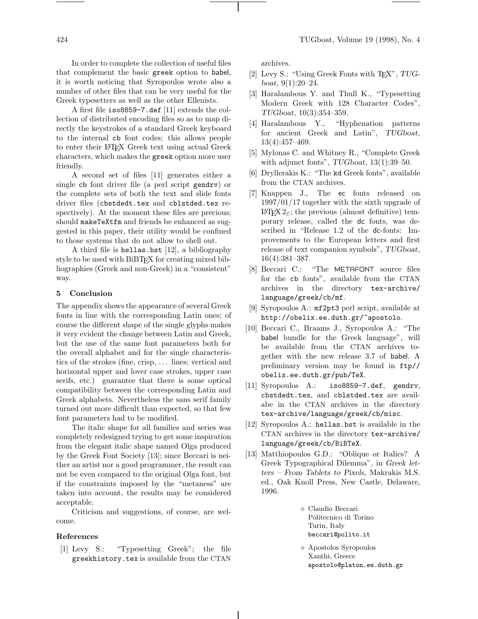In order to complete the collection of useful files that complement the basic greek option to babel, it is worth noticing that Syropoulos wrote also a number of other files that can be very useful for the Greek typesetters as well as the other Ellenists.

A first file iso8859-7.def [11] extends the collection of distributed encoding files so as to map directly the keystrokes of a standard Greek keyboard to the internal cb font codes; this allows people to enter their LATEX Greek text using actual Greek characters, which makes the greek option more user friendly.

A second set of files [11] generates either a single cb font driver file (a perl script gendrv) or the complete sets of both the text and slide fonts driver files (cbstdedt.tex and cblstded.tex respectively). At the moment these files are precious; should makeTeXtfm and friends be enhanced as suggested in this paper, their utility would be confined to those systems that do not allow to shell out.

A third file is hellas.bst [12], a bibliography style to be used with BiBTEX for creating mixed bibliographies (Greek and non-Greek) in a "consistent" way.

# **5 Conclusion**

The appendix shows the appearance of several Greek fonts in line with the corresponding Latin ones; of course the different shape of the single glyphs makes it very evident the change between Latin and Greek, but the use of the same font parameters both for the overall alphabet and for the single characteristics of the strokes (fine, crisp, .. . lines; vertical and horizontal upper and lover case strokes, upper case serifs, etc.) guarantee that there is some optical compatibility between the corresponding Latin and Greek alphabets. Nevertheless the sans serif family turned out more difficult than expected, so that few font parameters had to be modified.

The italic shape for all families and series was completely redesigned trying to get some inspiration from the elegant italic shape named Olga produced by the Greek Font Society [13]; since Beccari is neither an artist nor a good programmer, the result can not be even compared to the original Olga font, but if the constraints imposed by the "metaness" are taken into account, the results may be considered acceptable.

Criticism and suggestions, of course, are welcome.

## **References**

[1] Levy S.: "Typesetting Greek"; the file greekhistory.tex is available from the CTAN archives.

- [2] Levy S.: "Using Greek Fonts with TEX", *TUGboat*, 9(1):20–24.
- [3] Haralambous Y. and Thull K., "Typesetting Modern Greek with 128 Character Codes", *TUGboat*, 10(3):354–359.
- [4] Haralambous Y., "Hyphenation patterns for ancient Greek and Latin", *TUGboat*, 13(4):457–469.
- [5] Mylonas C. and Whitney R., "Complete Greek with adjunct fonts", *TUGboat*, 13(1):39–50.
- [6] Dryllerakis K.: "The kd Greek fonts", available from the CTAN archives.
- [7] Knappen J., The ec fonts released on 1997/01/17 together with the sixth upgrade of LAT<sub>F</sub>X 2<sub>ε</sub>; the previous (almost definitive) temporary release, called the dc fonts, was described in "Release 1.2 of the dc-fonts: Improvements to the European letters and first release of text companion symbols", *TUGboat*, 16(4):381–387.
- [8] Beccari C.: "The METAFONT source files for the cb fonts", available from the CTAN archives in the directory tex-archive/ language/greek/cb/mf.
- [9] Syropoulos A.: mf2pt3 perl script, available at http://obelix.ee.duth.gr/~apostolo.
- [10] Beccari C., Braams J., Syropoulos A.: "The babel bundle for the Greek language", will be available from the CTAN archives together with the new release 3.7 of babel. A preliminary version may be found in ftp// obelix.ee.duth.gr/pub/TeX.
- [11] Syropoulos A.: iso8859-7.def, gendry, cbstdedt.tex, and cblstded.tex are availabe in the CTAN archives in the directory tex-archive/language/greek/cb/misc.
- [12] Syropoulos A.: hellas.bst is available in the CTAN archives in the directory tex-archive/ language/greek/cb/BiBTeX.
- [13] Matthiopoulos G.D.: "Oblique or Italics? A Greek Typographical Dilemma", in *Greek letters – From Tablets to Pixels*, Makrakis M.S. ed., Oak Knoll Press, New Castle, Delaware, 1996.

 Claudio Beccari Politecnico di Torino Turin, Italy beccari@polito.it

 Apostolos Syropoulos Xanthi, Greece apostolo@platon.ee.duth.gr